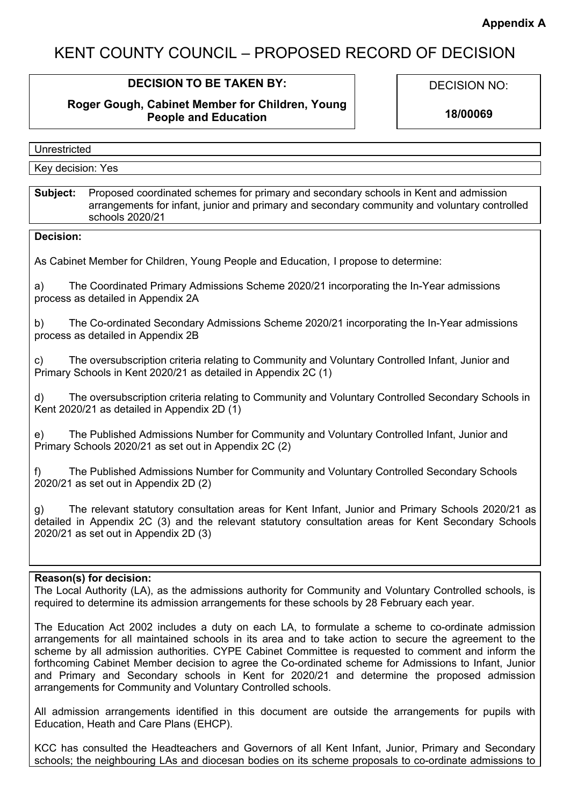# KENT COUNTY COUNCIL – PROPOSED RECORD OF DECISION

# **DECISION TO BE TAKEN BY:**

## **Roger Gough, Cabinet Member for Children, Young People and Education**

DECISION NO:

**18/00069**

| י וטנפע                 |  |
|-------------------------|--|
|                         |  |
| Yes<br>decision:<br>ر ب |  |

**Subject:** Proposed coordinated schemes for primary and secondary schools in Kent and admission arrangements for infant, junior and primary and secondary community and voluntary controlled schools 2020/21

#### **Decision:**

As Cabinet Member for Children, Young People and Education, I propose to determine:

a) The Coordinated Primary Admissions Scheme 2020/21 incorporating the In-Year admissions process as detailed in Appendix 2A

b) The Co-ordinated Secondary Admissions Scheme 2020/21 incorporating the In-Year admissions process as detailed in Appendix 2B

c) The oversubscription criteria relating to Community and Voluntary Controlled Infant, Junior and Primary Schools in Kent 2020/21 as detailed in Appendix 2C (1)

d) The oversubscription criteria relating to Community and Voluntary Controlled Secondary Schools in Kent 2020/21 as detailed in Appendix 2D (1)

e) The Published Admissions Number for Community and Voluntary Controlled Infant, Junior and Primary Schools 2020/21 as set out in Appendix 2C (2)

f) The Published Admissions Number for Community and Voluntary Controlled Secondary Schools 2020/21 as set out in Appendix 2D (2)

g) The relevant statutory consultation areas for Kent Infant, Junior and Primary Schools 2020/21 as detailed in Appendix 2C (3) and the relevant statutory consultation areas for Kent Secondary Schools 2020/21 as set out in Appendix 2D (3)

#### **Reason(s) for decision:**

The Local Authority (LA), as the admissions authority for Community and Voluntary Controlled schools, is required to determine its admission arrangements for these schools by 28 February each year.

The Education Act 2002 includes a duty on each LA, to formulate a scheme to co-ordinate admission arrangements for all maintained schools in its area and to take action to secure the agreement to the scheme by all admission authorities. CYPE Cabinet Committee is requested to comment and inform the forthcoming Cabinet Member decision to agree the Co-ordinated scheme for Admissions to Infant, Junior and Primary and Secondary schools in Kent for 2020/21 and determine the proposed admission arrangements for Community and Voluntary Controlled schools.

All admission arrangements identified in this document are outside the arrangements for pupils with Education, Heath and Care Plans (EHCP).

KCC has consulted the Headteachers and Governors of all Kent Infant, Junior, Primary and Secondary schools; the neighbouring LAs and diocesan bodies on its scheme proposals to co-ordinate admissions to